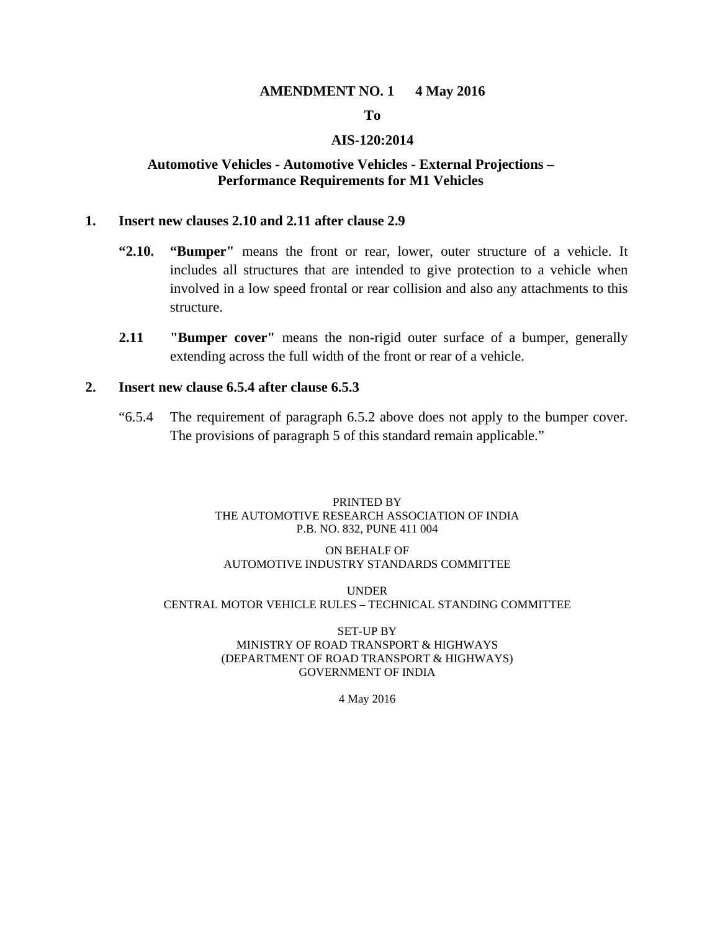#### **AMENDMENT NO. 1 4 May 2016**

# **To**

#### **AIS-120:2014**

#### **Automotive Vehicles - Automotive Vehicles - External Projections – Performance Requirements for M1 Vehicles**

#### **1. Insert new clauses 2.10 and 2.11 after clause 2.9**

- **"2.10. "Bumper"** means the front or rear, lower, outer structure of a vehicle. It includes all structures that are intended to give protection to a vehicle when involved in a low speed frontal or rear collision and also any attachments to this structure.
- **2.11 "Bumper cover"** means the non-rigid outer surface of a bumper, generally extending across the full width of the front or rear of a vehicle.

#### **2. Insert new clause 6.5.4 after clause 6.5.3**

"6.5.4 The requirement of paragraph 6.5.2 above does not apply to the bumper cover. The provisions of paragraph 5 of this standard remain applicable."

#### PRINTED BY THE AUTOMOTIVE RESEARCH ASSOCIATION OF INDIA P.B. NO. 832, PUNE 411 004

#### ON BEHALF OF AUTOMOTIVE INDUSTRY STANDARDS COMMITTEE

#### UNDER CENTRAL MOTOR VEHICLE RULES – TECHNICAL STANDING COMMITTEE

#### SET-UP BY MINISTRY OF ROAD TRANSPORT & HIGHWAYS (DEPARTMENT OF ROAD TRANSPORT & HIGHWAYS) GOVERNMENT OF INDIA

4 May 2016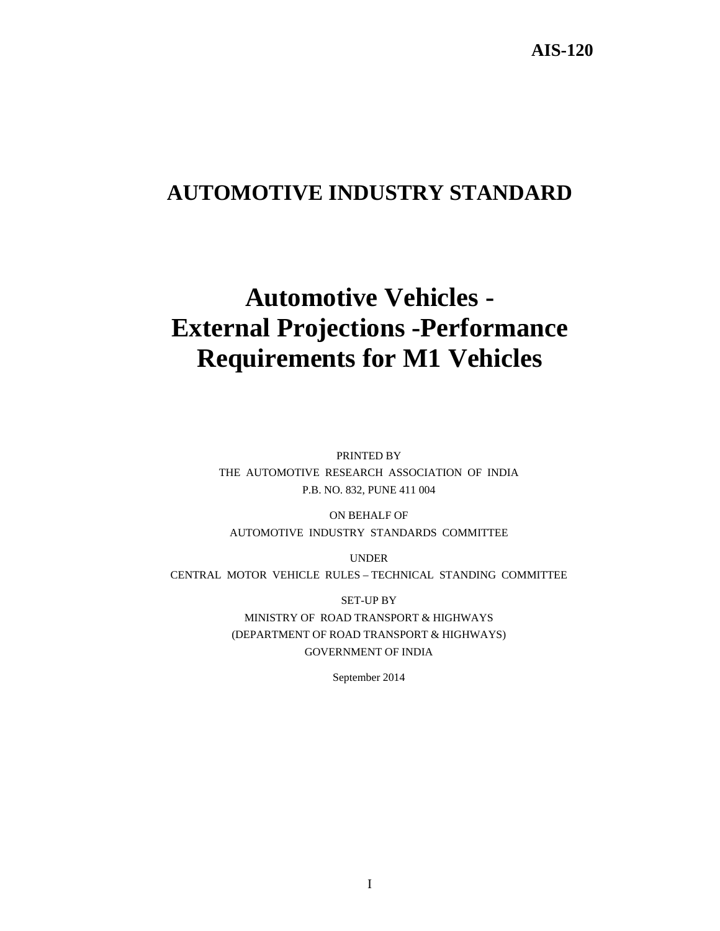# **AUTOMOTIVE INDUSTRY STANDARD**

# **Automotive Vehicles - External Projections -Performance Requirements for M1 Vehicles**

PRINTED BY THE AUTOMOTIVE RESEARCH ASSOCIATION OF INDIA P.B. NO. 832, PUNE 411 004

ON BEHALF OF AUTOMOTIVE INDUSTRY STANDARDS COMMITTEE

UNDER

CENTRAL MOTOR VEHICLE RULES – TECHNICAL STANDING COMMITTEE

SET-UP BY

MINISTRY OF ROAD TRANSPORT & HIGHWAYS (DEPARTMENT OF ROAD TRANSPORT & HIGHWAYS) GOVERNMENT OF INDIA

September 2014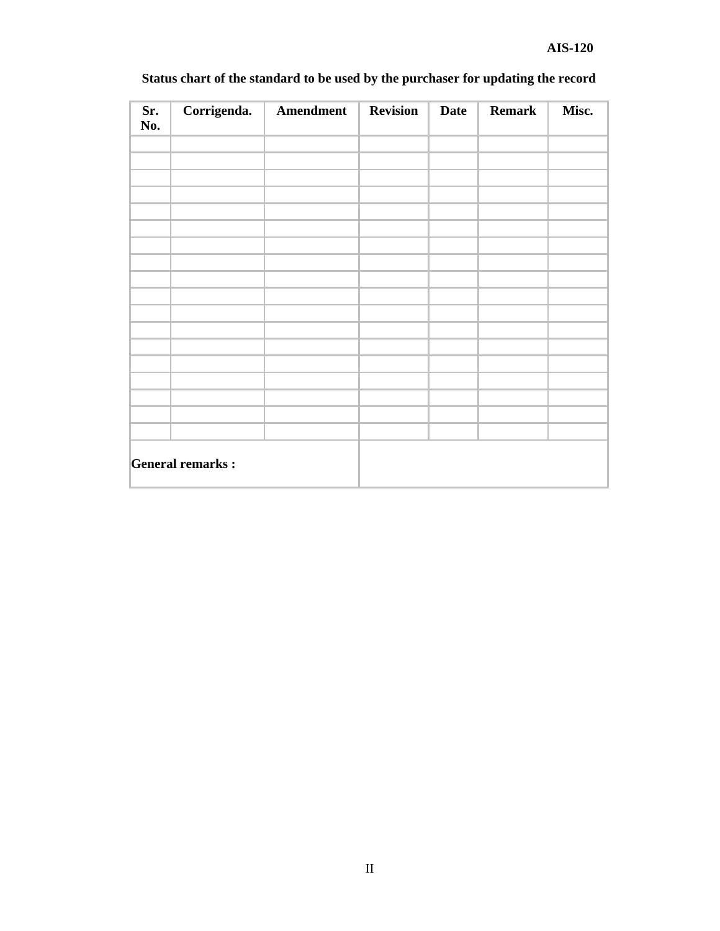| Sr.<br>No. | Corrigenda.             | Amendment | <b>Revision</b> | <b>Date</b> | <b>Remark</b> | Misc. |
|------------|-------------------------|-----------|-----------------|-------------|---------------|-------|
|            |                         |           |                 |             |               |       |
|            |                         |           |                 |             |               |       |
|            |                         |           |                 |             |               |       |
|            |                         |           |                 |             |               |       |
|            |                         |           |                 |             |               |       |
|            |                         |           |                 |             |               |       |
|            |                         |           |                 |             |               |       |
|            |                         |           |                 |             |               |       |
|            |                         |           |                 |             |               |       |
|            |                         |           |                 |             |               |       |
|            |                         |           |                 |             |               |       |
|            |                         |           |                 |             |               |       |
|            | <b>General remarks:</b> |           |                 |             |               |       |

# **Status chart of the standard to be used by the purchaser for updating the record**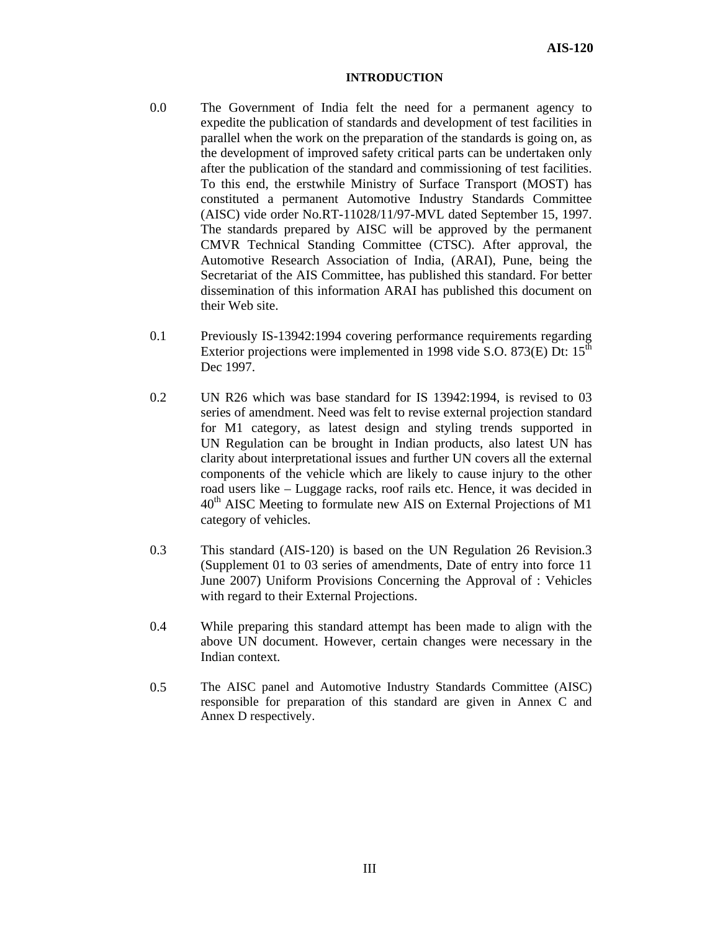#### **INTRODUCTION**

- 0.0 The Government of India felt the need for a permanent agency to expedite the publication of standards and development of test facilities in parallel when the work on the preparation of the standards is going on, as the development of improved safety critical parts can be undertaken only after the publication of the standard and commissioning of test facilities. To this end, the erstwhile Ministry of Surface Transport (MOST) has constituted a permanent Automotive Industry Standards Committee (AISC) vide order No.RT-11028/11/97-MVL dated September 15, 1997. The standards prepared by AISC will be approved by the permanent CMVR Technical Standing Committee (CTSC). After approval, the Automotive Research Association of India, (ARAI), Pune, being the Secretariat of the AIS Committee, has published this standard. For better dissemination of this information ARAI has published this document on their Web site.
- 0.1 Previously IS-13942:1994 covering performance requirements regarding Exterior projections were implemented in 1998 vide S.O. 873 $(E)$  Dt: 15<sup>th</sup> Dec 1997.
- 0.2 UN R26 which was base standard for IS 13942:1994, is revised to 03 series of amendment. Need was felt to revise external projection standard for M1 category, as latest design and styling trends supported in UN Regulation can be brought in Indian products, also latest UN has clarity about interpretational issues and further UN covers all the external components of the vehicle which are likely to cause injury to the other road users like – Luggage racks, roof rails etc. Hence, it was decided in 40<sup>th</sup> AISC Meeting to formulate new AIS on External Projections of M1 category of vehicles.
- 0.3 This standard (AIS-120) is based on the UN Regulation 26 Revision.3 (Supplement 01 to 03 series of amendments, Date of entry into force 11 June 2007) Uniform Provisions Concerning the Approval of : Vehicles with regard to their External Projections.
- 0.4 While preparing this standard attempt has been made to align with the above UN document. However, certain changes were necessary in the Indian context.
- 0.5 The AISC panel and Automotive Industry Standards Committee (AISC) responsible for preparation of this standard are given in Annex C and Annex D respectively.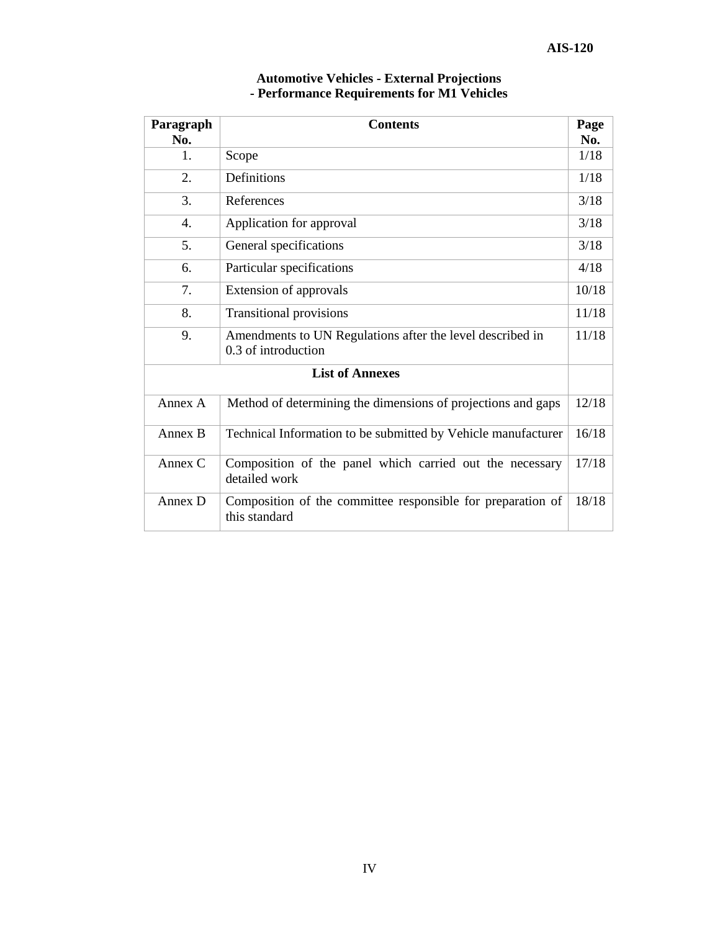| Paragraph<br>No.       | <b>Contents</b>                                                                  | Page<br>No. |  |  |  |
|------------------------|----------------------------------------------------------------------------------|-------------|--|--|--|
| $\mathbf{1}$ .         | Scope                                                                            | 1/18        |  |  |  |
| 2.                     | Definitions                                                                      | 1/18        |  |  |  |
| 3.                     | References                                                                       | 3/18        |  |  |  |
| 4.                     | Application for approval                                                         | 3/18        |  |  |  |
| 5.                     | General specifications                                                           | 3/18        |  |  |  |
| 6.                     | Particular specifications                                                        | 4/18        |  |  |  |
| 7.                     | Extension of approvals                                                           | 10/18       |  |  |  |
| 8.                     | <b>Transitional provisions</b>                                                   | 11/18       |  |  |  |
| 9.                     | Amendments to UN Regulations after the level described in<br>0.3 of introduction | 11/18       |  |  |  |
| <b>List of Annexes</b> |                                                                                  |             |  |  |  |
| Annex A                | Method of determining the dimensions of projections and gaps                     | 12/18       |  |  |  |
| Annex B                | Technical Information to be submitted by Vehicle manufacturer                    | 16/18       |  |  |  |
| Annex C                | Composition of the panel which carried out the necessary<br>detailed work        | 17/18       |  |  |  |
| Annex D                | Composition of the committee responsible for preparation of<br>this standard     | 18/18       |  |  |  |

#### **Automotive Vehicles - External Projections - Performance Requirements for M1 Vehicles**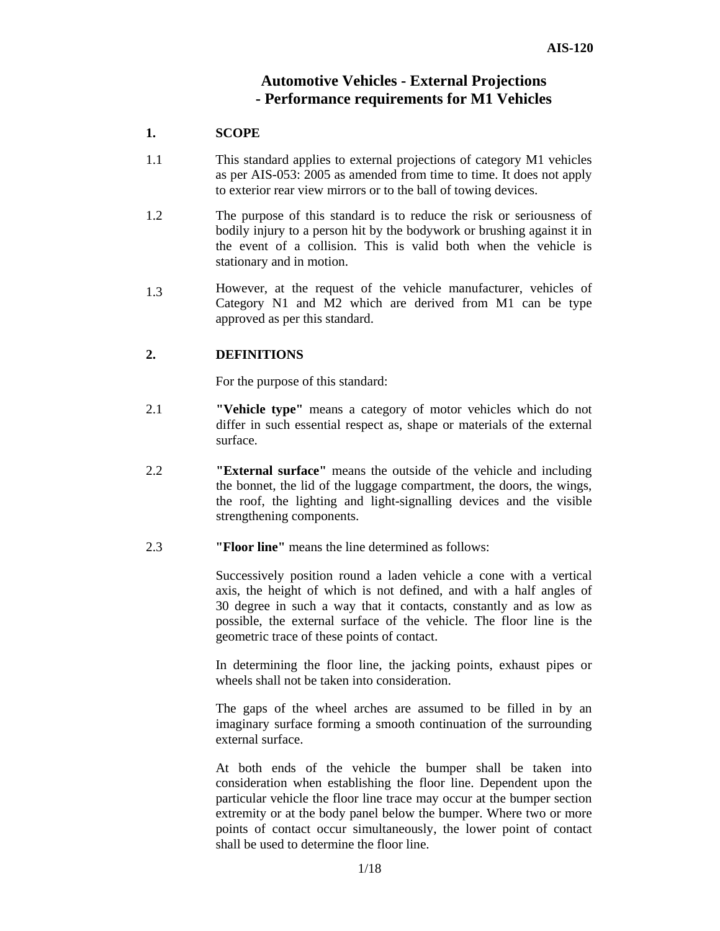# **Automotive Vehicles - External Projections - Performance requirements for M1 Vehicles**

#### **1. SCOPE**

- 1.1 This standard applies to external projections of category M1 vehicles as per AIS-053: 2005 as amended from time to time. It does not apply to exterior rear view mirrors or to the ball of towing devices.
- 1.2 The purpose of this standard is to reduce the risk or seriousness of bodily injury to a person hit by the bodywork or brushing against it in the event of a collision. This is valid both when the vehicle is stationary and in motion.
- 1.3 However, at the request of the vehicle manufacturer, vehicles of Category N1 and M2 which are derived from M1 can be type approved as per this standard.

#### **2. DEFINITIONS**

For the purpose of this standard:

- 2.1 **"Vehicle type"** means a category of motor vehicles which do not differ in such essential respect as, shape or materials of the external surface.
- 2.2 **"External surface"** means the outside of the vehicle and including the bonnet, the lid of the luggage compartment, the doors, the wings, the roof, the lighting and light-signalling devices and the visible strengthening components.
- 2.3 **"Floor line"** means the line determined as follows:

Successively position round a laden vehicle a cone with a vertical axis, the height of which is not defined, and with a half angles of 30 degree in such a way that it contacts, constantly and as low as possible, the external surface of the vehicle. The floor line is the geometric trace of these points of contact.

In determining the floor line, the jacking points, exhaust pipes or wheels shall not be taken into consideration.

The gaps of the wheel arches are assumed to be filled in by an imaginary surface forming a smooth continuation of the surrounding external surface.

At both ends of the vehicle the bumper shall be taken into consideration when establishing the floor line. Dependent upon the particular vehicle the floor line trace may occur at the bumper section extremity or at the body panel below the bumper. Where two or more points of contact occur simultaneously, the lower point of contact shall be used to determine the floor line.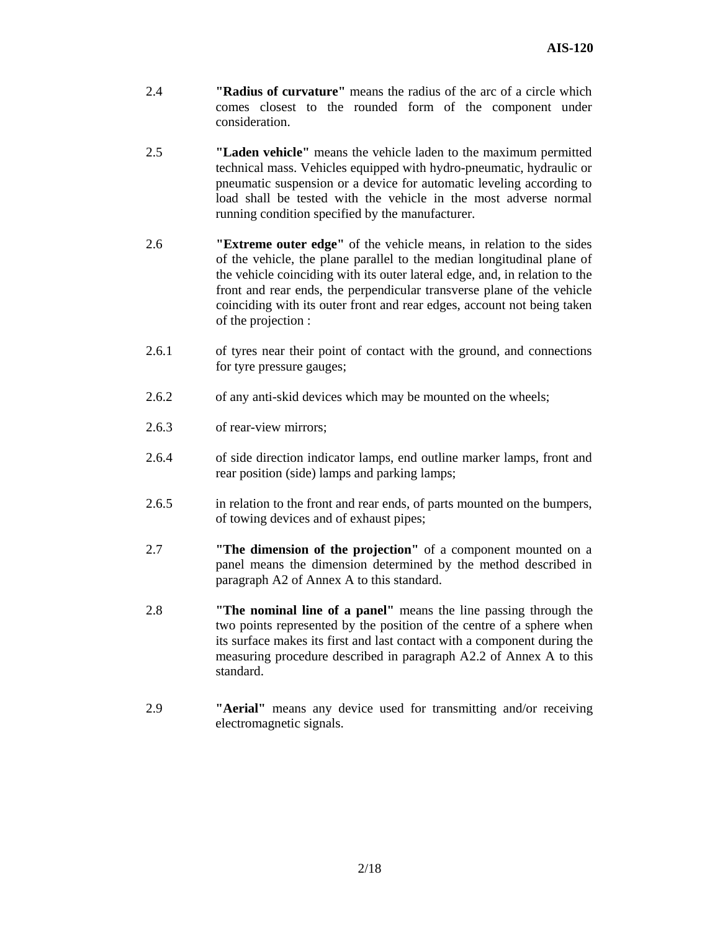- 2.4 **"Radius of curvature"** means the radius of the arc of a circle which comes closest to the rounded form of the component under consideration.
- 2.5 **"Laden vehicle"** means the vehicle laden to the maximum permitted technical mass. Vehicles equipped with hydro-pneumatic, hydraulic or pneumatic suspension or a device for automatic leveling according to load shall be tested with the vehicle in the most adverse normal running condition specified by the manufacturer.
- 2.6 **"Extreme outer edge"** of the vehicle means, in relation to the sides of the vehicle, the plane parallel to the median longitudinal plane of the vehicle coinciding with its outer lateral edge, and, in relation to the front and rear ends, the perpendicular transverse plane of the vehicle coinciding with its outer front and rear edges, account not being taken of the projection :
- 2.6.1 of tyres near their point of contact with the ground, and connections for tyre pressure gauges;
- 2.6.2 of any anti-skid devices which may be mounted on the wheels;
- 2.6.3 of rear-view mirrors;
- 2.6.4 of side direction indicator lamps, end outline marker lamps, front and rear position (side) lamps and parking lamps;
- 2.6.5 in relation to the front and rear ends, of parts mounted on the bumpers, of towing devices and of exhaust pipes;
- 2.7 **"The dimension of the projection"** of a component mounted on a panel means the dimension determined by the method described in paragraph A2 of Annex A to this standard.
- 2.8 **"The nominal line of a panel"** means the line passing through the two points represented by the position of the centre of a sphere when its surface makes its first and last contact with a component during the measuring procedure described in paragraph A2.2 of Annex A to this standard.
- 2.9 **"Aerial"** means any device used for transmitting and/or receiving electromagnetic signals.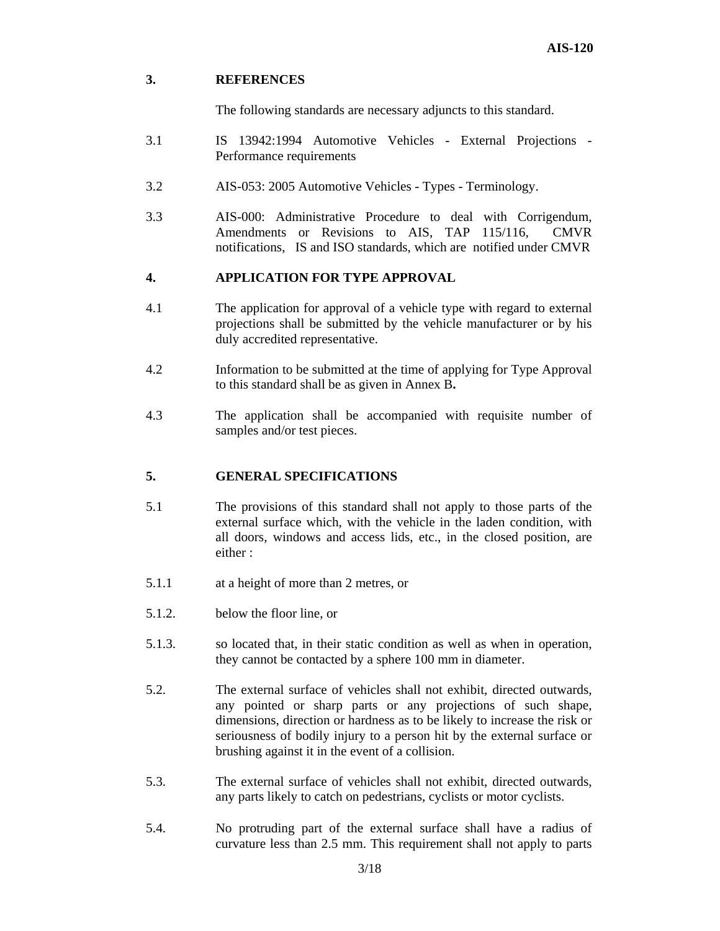#### **3. REFERENCES**

The following standards are necessary adjuncts to this standard.

- 3.1 IS 13942:1994 Automotive Vehicles External Projections Performance requirements
- 3.2 AIS-053: 2005 Automotive Vehicles Types Terminology.
- 3.3 AIS-000: Administrative Procedure to deal with Corrigendum, Amendments or Revisions to AIS, TAP 115/116, CMVR notifications, IS and ISO standards, which are notified under CMVR

# **4. APPLICATION FOR TYPE APPROVAL**

- 4.1 The application for approval of a vehicle type with regard to external projections shall be submitted by the vehicle manufacturer or by his duly accredited representative.
- 4.2 Information to be submitted at the time of applying for Type Approval to this standard shall be as given in Annex B**.**
- 4.3 The application shall be accompanied with requisite number of samples and/or test pieces.

# **5. GENERAL SPECIFICATIONS**

- 5.1 The provisions of this standard shall not apply to those parts of the external surface which, with the vehicle in the laden condition, with all doors, windows and access lids, etc., in the closed position, are either :
- 5.1.1 at a height of more than 2 metres, or
- 5.1.2. below the floor line, or
- 5.1.3. so located that, in their static condition as well as when in operation, they cannot be contacted by a sphere 100 mm in diameter.
- 5.2. The external surface of vehicles shall not exhibit, directed outwards, any pointed or sharp parts or any projections of such shape, dimensions, direction or hardness as to be likely to increase the risk or seriousness of bodily injury to a person hit by the external surface or brushing against it in the event of a collision.
- 5.3. The external surface of vehicles shall not exhibit, directed outwards, any parts likely to catch on pedestrians, cyclists or motor cyclists.
- 5.4. No protruding part of the external surface shall have a radius of curvature less than 2.5 mm. This requirement shall not apply to parts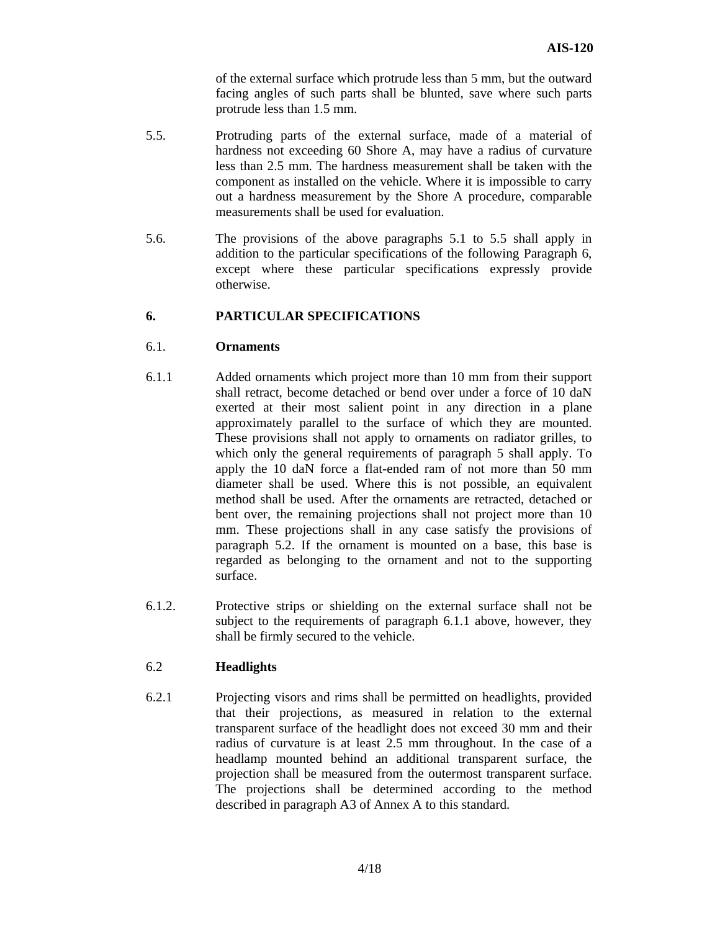of the external surface which protrude less than 5 mm, but the outward facing angles of such parts shall be blunted, save where such parts protrude less than 1.5 mm.

- 5.5. Protruding parts of the external surface, made of a material of hardness not exceeding 60 Shore A, may have a radius of curvature less than 2.5 mm. The hardness measurement shall be taken with the component as installed on the vehicle. Where it is impossible to carry out a hardness measurement by the Shore A procedure, comparable measurements shall be used for evaluation.
- 5.6. The provisions of the above paragraphs 5.1 to 5.5 shall apply in addition to the particular specifications of the following Paragraph 6, except where these particular specifications expressly provide otherwise.

# **6. PARTICULAR SPECIFICATIONS**

#### 6.1. **Ornaments**

- 6.1.1 Added ornaments which project more than 10 mm from their support shall retract, become detached or bend over under a force of 10 daN exerted at their most salient point in any direction in a plane approximately parallel to the surface of which they are mounted. These provisions shall not apply to ornaments on radiator grilles, to which only the general requirements of paragraph 5 shall apply. To apply the 10 daN force a flat-ended ram of not more than 50 mm diameter shall be used. Where this is not possible, an equivalent method shall be used. After the ornaments are retracted, detached or bent over, the remaining projections shall not project more than 10 mm. These projections shall in any case satisfy the provisions of paragraph 5.2. If the ornament is mounted on a base, this base is regarded as belonging to the ornament and not to the supporting surface.
- 6.1.2. Protective strips or shielding on the external surface shall not be subject to the requirements of paragraph 6.1.1 above, however, they shall be firmly secured to the vehicle.

#### 6.2 **Headlights**

6.2.1 Projecting visors and rims shall be permitted on headlights, provided that their projections, as measured in relation to the external transparent surface of the headlight does not exceed 30 mm and their radius of curvature is at least 2.5 mm throughout. In the case of a headlamp mounted behind an additional transparent surface, the projection shall be measured from the outermost transparent surface. The projections shall be determined according to the method described in paragraph A3 of Annex A to this standard.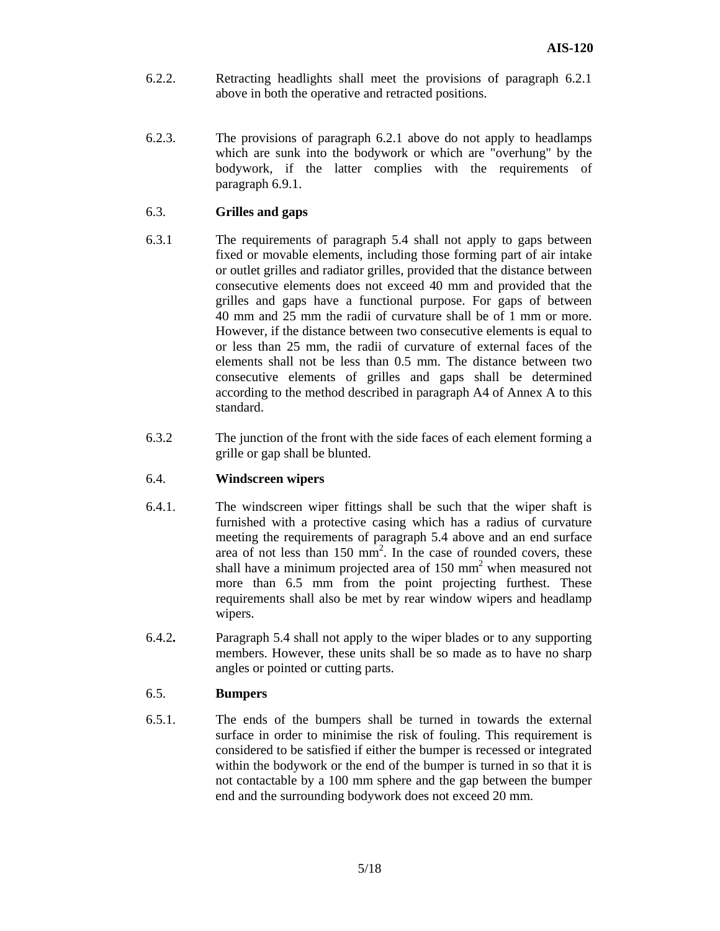- 6.2.2. Retracting headlights shall meet the provisions of paragraph 6.2.1 above in both the operative and retracted positions.
- 6.2.3. The provisions of paragraph 6.2.1 above do not apply to headlamps which are sunk into the bodywork or which are "overhung" by the bodywork, if the latter complies with the requirements of paragraph 6.9.1.

#### 6.3. **Grilles and gaps**

- 6.3.1 The requirements of paragraph 5.4 shall not apply to gaps between fixed or movable elements, including those forming part of air intake or outlet grilles and radiator grilles, provided that the distance between consecutive elements does not exceed 40 mm and provided that the grilles and gaps have a functional purpose. For gaps of between 40 mm and 25 mm the radii of curvature shall be of 1 mm or more. However, if the distance between two consecutive elements is equal to or less than 25 mm, the radii of curvature of external faces of the elements shall not be less than 0.5 mm. The distance between two consecutive elements of grilles and gaps shall be determined according to the method described in paragraph A4 of Annex A to this standard.
- 6.3.2 The junction of the front with the side faces of each element forming a grille or gap shall be blunted.

#### 6.4. **Windscreen wipers**

- 6.4.1. The windscreen wiper fittings shall be such that the wiper shaft is furnished with a protective casing which has a radius of curvature meeting the requirements of paragraph 5.4 above and an end surface area of not less than  $150 \text{ mm}^2$ . In the case of rounded covers, these shall have a minimum projected area of  $150 \text{ mm}^2$  when measured not more than 6.5 mm from the point projecting furthest. These requirements shall also be met by rear window wipers and headlamp wipers.
- 6.4.2**.** Paragraph 5.4 shall not apply to the wiper blades or to any supporting members. However, these units shall be so made as to have no sharp angles or pointed or cutting parts.

#### 6.5. **Bumpers**

6.5.1. The ends of the bumpers shall be turned in towards the external surface in order to minimise the risk of fouling. This requirement is considered to be satisfied if either the bumper is recessed or integrated within the bodywork or the end of the bumper is turned in so that it is not contactable by a 100 mm sphere and the gap between the bumper end and the surrounding bodywork does not exceed 20 mm.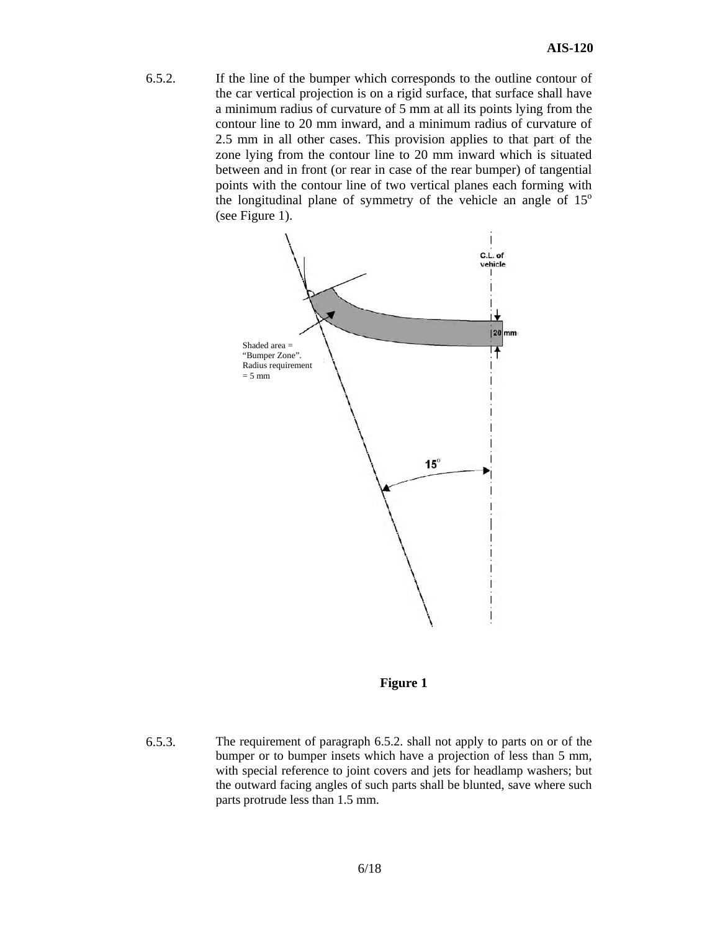6.5.2. If the line of the bumper which corresponds to the outline contour of the car vertical projection is on a rigid surface, that surface shall have a minimum radius of curvature of 5 mm at all its points lying from the contour line to 20 mm inward, and a minimum radius of curvature of 2.5 mm in all other cases. This provision applies to that part of the zone lying from the contour line to 20 mm inward which is situated between and in front (or rear in case of the rear bumper) of tangential points with the contour line of two vertical planes each forming with the longitudinal plane of symmetry of the vehicle an angle of  $15^{\circ}$ (see Figure 1).





6.5.3. The requirement of paragraph 6.5.2. shall not apply to parts on or of the bumper or to bumper insets which have a projection of less than 5 mm, with special reference to joint covers and jets for headlamp washers; but the outward facing angles of such parts shall be blunted, save where such parts protrude less than 1.5 mm.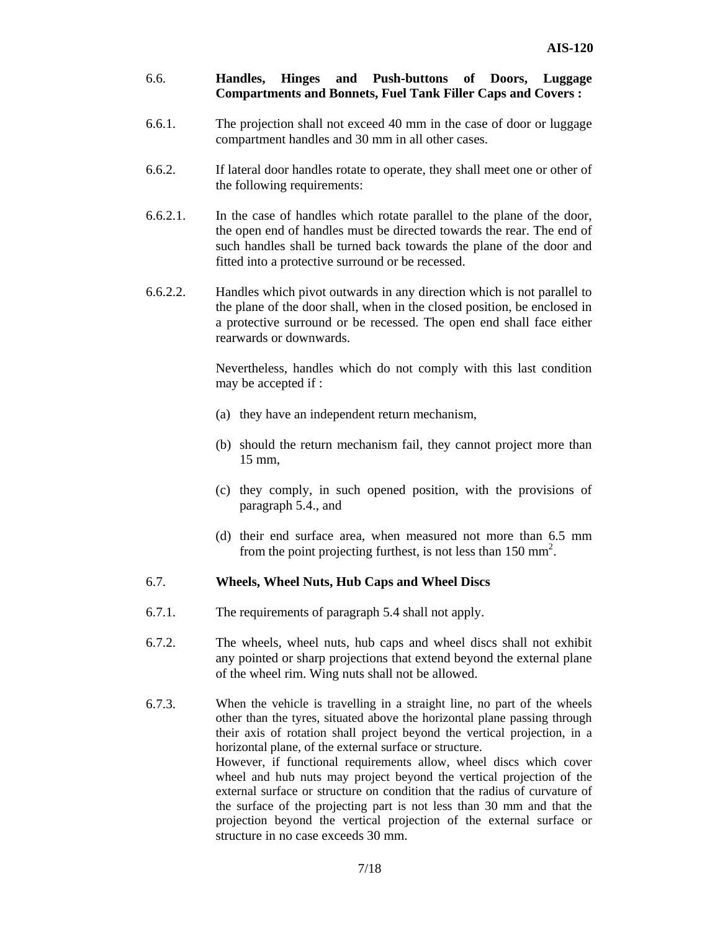#### 6.6. **Handles, Hinges and Push-buttons of Doors, Luggage Compartments and Bonnets, Fuel Tank Filler Caps and Covers :**

- 6.6.1. The projection shall not exceed 40 mm in the case of door or luggage compartment handles and 30 mm in all other cases.
- 6.6.2. If lateral door handles rotate to operate, they shall meet one or other of the following requirements:
- 6.6.2.1. In the case of handles which rotate parallel to the plane of the door, the open end of handles must be directed towards the rear. The end of such handles shall be turned back towards the plane of the door and fitted into a protective surround or be recessed.
- 6.6.2.2. Handles which pivot outwards in any direction which is not parallel to the plane of the door shall, when in the closed position, be enclosed in a protective surround or be recessed. The open end shall face either rearwards or downwards.

Nevertheless, handles which do not comply with this last condition may be accepted if :

- (a) they have an independent return mechanism,
- (b) should the return mechanism fail, they cannot project more than 15 mm,
- (c) they comply, in such opened position, with the provisions of paragraph 5.4., and
- (d) their end surface area, when measured not more than 6.5 mm from the point projecting furthest, is not less than  $150 \text{ mm}^2$ .

#### 6.7. **Wheels, Wheel Nuts, Hub Caps and Wheel Discs**

- 6.7.1. The requirements of paragraph 5.4 shall not apply.
- 6.7.2. The wheels, wheel nuts, hub caps and wheel discs shall not exhibit any pointed or sharp projections that extend beyond the external plane of the wheel rim. Wing nuts shall not be allowed.
- 6.7.3. When the vehicle is travelling in a straight line, no part of the wheels other than the tyres, situated above the horizontal plane passing through their axis of rotation shall project beyond the vertical projection, in a horizontal plane, of the external surface or structure. However, if functional requirements allow, wheel discs which cover wheel and hub nuts may project beyond the vertical projection of the external surface or structure on condition that the radius of curvature of the surface of the projecting part is not less than 30 mm and that the projection beyond the vertical projection of the external surface or structure in no case exceeds 30 mm.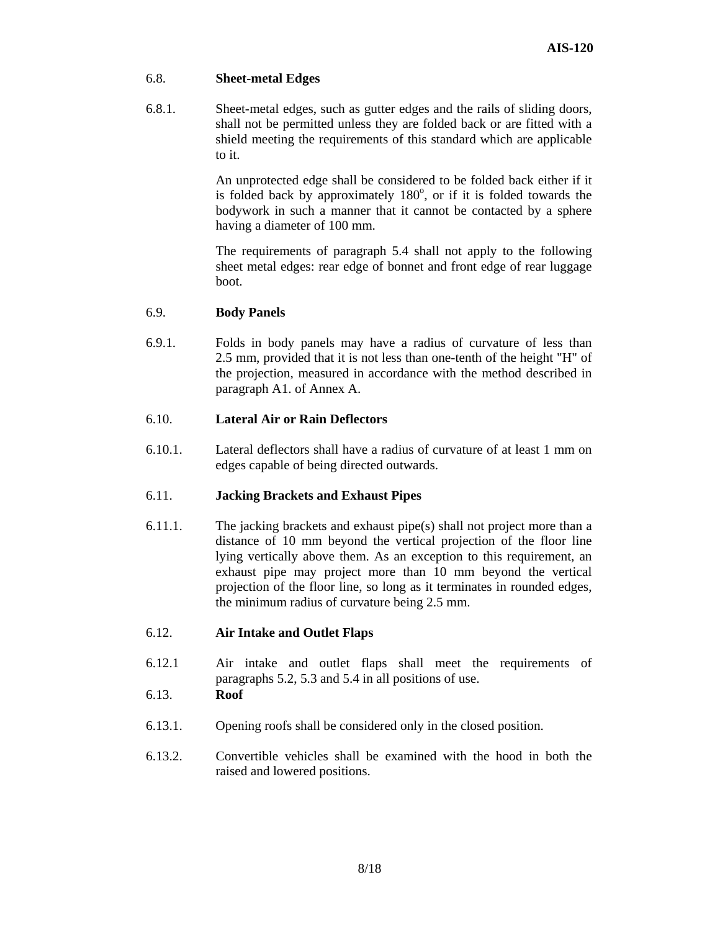#### 6.8. **Sheet-metal Edges**

6.8.1. Sheet-metal edges, such as gutter edges and the rails of sliding doors, shall not be permitted unless they are folded back or are fitted with a shield meeting the requirements of this standard which are applicable to it.

> An unprotected edge shall be considered to be folded back either if it is folded back by approximately  $180^\circ$ , or if it is folded towards the bodywork in such a manner that it cannot be contacted by a sphere having a diameter of 100 mm.

> The requirements of paragraph 5.4 shall not apply to the following sheet metal edges: rear edge of bonnet and front edge of rear luggage boot.

#### 6.9. **Body Panels**

6.9.1. Folds in body panels may have a radius of curvature of less than 2.5 mm, provided that it is not less than one-tenth of the height "H" of the projection, measured in accordance with the method described in paragraph A1. of Annex A.

# 6.10. **Lateral Air or Rain Deflectors**

6.10.1. Lateral deflectors shall have a radius of curvature of at least 1 mm on edges capable of being directed outwards.

# 6.11. **Jacking Brackets and Exhaust Pipes**

6.11.1. The jacking brackets and exhaust pipe(s) shall not project more than a distance of 10 mm beyond the vertical projection of the floor line lying vertically above them. As an exception to this requirement, an exhaust pipe may project more than 10 mm beyond the vertical projection of the floor line, so long as it terminates in rounded edges, the minimum radius of curvature being 2.5 mm.

# 6.12. **Air Intake and Outlet Flaps**

6.12.1 Air intake and outlet flaps shall meet the requirements of paragraphs 5.2, 5.3 and 5.4 in all positions of use.

#### 6.13. **Roof**

- 6.13.1. Opening roofs shall be considered only in the closed position.
- 6.13.2. Convertible vehicles shall be examined with the hood in both the raised and lowered positions.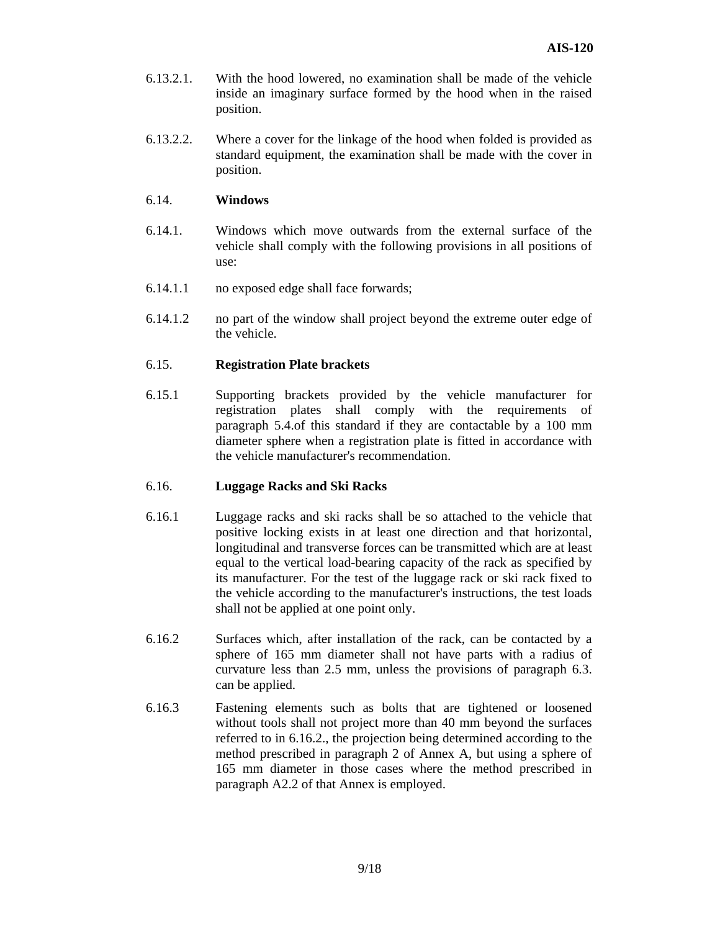- 6.13.2.1. With the hood lowered, no examination shall be made of the vehicle inside an imaginary surface formed by the hood when in the raised position.
- 6.13.2.2. Where a cover for the linkage of the hood when folded is provided as standard equipment, the examination shall be made with the cover in position.

#### 6.14. **Windows**

- 6.14.1. Windows which move outwards from the external surface of the vehicle shall comply with the following provisions in all positions of use:
- 6.14.1.1 no exposed edge shall face forwards;
- 6.14.1.2 no part of the window shall project beyond the extreme outer edge of the vehicle.

#### 6.15. **Registration Plate brackets**

6.15.1 Supporting brackets provided by the vehicle manufacturer for registration plates shall comply with the requirements of paragraph 5.4.of this standard if they are contactable by a 100 mm diameter sphere when a registration plate is fitted in accordance with the vehicle manufacturer's recommendation.

#### 6.16. **Luggage Racks and Ski Racks**

- 6.16.1 Luggage racks and ski racks shall be so attached to the vehicle that positive locking exists in at least one direction and that horizontal, longitudinal and transverse forces can be transmitted which are at least equal to the vertical load-bearing capacity of the rack as specified by its manufacturer. For the test of the luggage rack or ski rack fixed to the vehicle according to the manufacturer's instructions, the test loads shall not be applied at one point only.
- 6.16.2 Surfaces which, after installation of the rack, can be contacted by a sphere of 165 mm diameter shall not have parts with a radius of curvature less than 2.5 mm, unless the provisions of paragraph 6.3. can be applied.
- 6.16.3 Fastening elements such as bolts that are tightened or loosened without tools shall not project more than 40 mm beyond the surfaces referred to in 6.16.2., the projection being determined according to the method prescribed in paragraph 2 of Annex A, but using a sphere of 165 mm diameter in those cases where the method prescribed in paragraph A2.2 of that Annex is employed.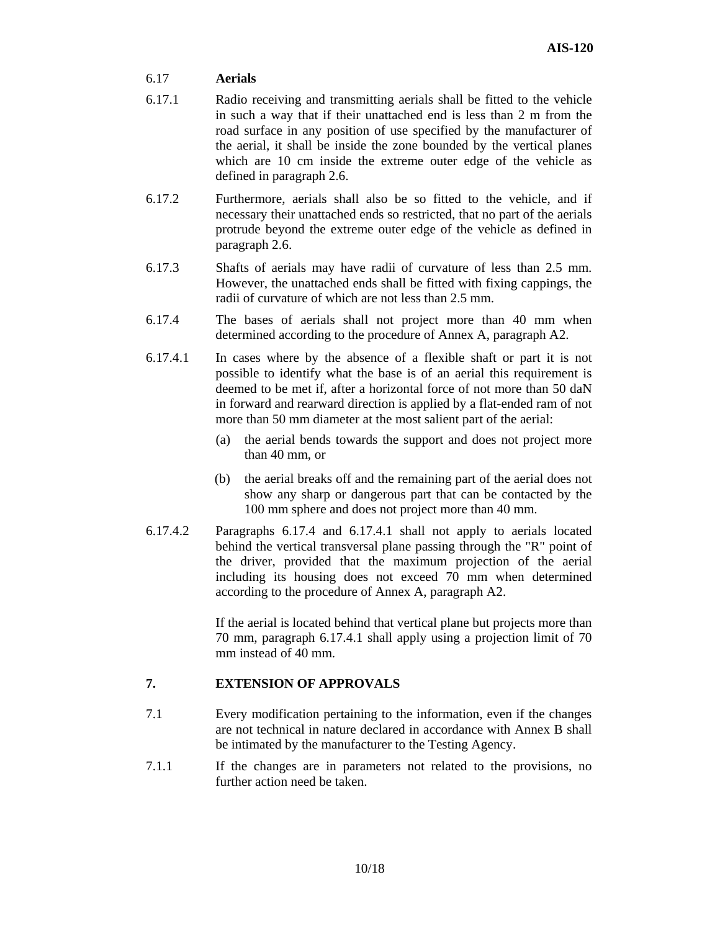#### 6.17 **Aerials**

- 6.17.1 Radio receiving and transmitting aerials shall be fitted to the vehicle in such a way that if their unattached end is less than 2 m from the road surface in any position of use specified by the manufacturer of the aerial, it shall be inside the zone bounded by the vertical planes which are 10 cm inside the extreme outer edge of the vehicle as defined in paragraph 2.6.
- 6.17.2 Furthermore, aerials shall also be so fitted to the vehicle, and if necessary their unattached ends so restricted, that no part of the aerials protrude beyond the extreme outer edge of the vehicle as defined in paragraph 2.6.
- 6.17.3 Shafts of aerials may have radii of curvature of less than 2.5 mm. However, the unattached ends shall be fitted with fixing cappings, the radii of curvature of which are not less than 2.5 mm.
- 6.17.4 The bases of aerials shall not project more than 40 mm when determined according to the procedure of Annex A, paragraph A2.
- 6.17.4.1 In cases where by the absence of a flexible shaft or part it is not possible to identify what the base is of an aerial this requirement is deemed to be met if, after a horizontal force of not more than 50 daN in forward and rearward direction is applied by a flat-ended ram of not more than 50 mm diameter at the most salient part of the aerial:
	- (a) the aerial bends towards the support and does not project more than 40 mm, or
	- (b) the aerial breaks off and the remaining part of the aerial does not show any sharp or dangerous part that can be contacted by the 100 mm sphere and does not project more than 40 mm.
- 6.17.4.2 Paragraphs 6.17.4 and 6.17.4.1 shall not apply to aerials located behind the vertical transversal plane passing through the "R" point of the driver, provided that the maximum projection of the aerial including its housing does not exceed 70 mm when determined according to the procedure of Annex A, paragraph A2.

If the aerial is located behind that vertical plane but projects more than 70 mm, paragraph 6.17.4.1 shall apply using a projection limit of 70 mm instead of 40 mm.

# **7. EXTENSION OF APPROVALS**

- 7.1 Every modification pertaining to the information, even if the changes are not technical in nature declared in accordance with Annex B shall be intimated by the manufacturer to the Testing Agency.
- 7.1.1 If the changes are in parameters not related to the provisions, no further action need be taken.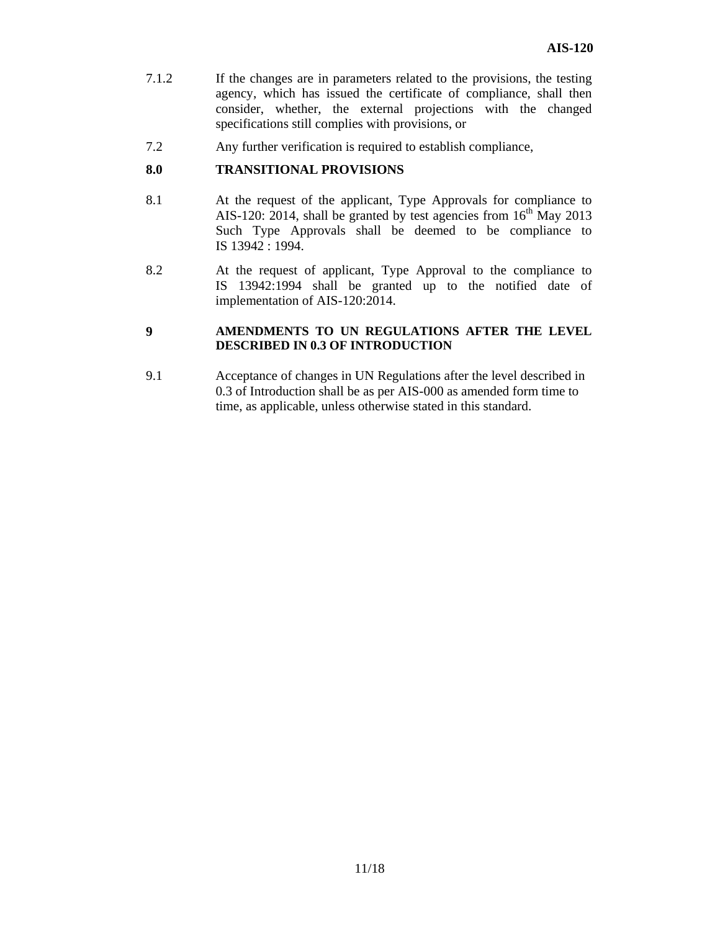- 7.1.2 If the changes are in parameters related to the provisions, the testing agency, which has issued the certificate of compliance, shall then consider, whether, the external projections with the changed specifications still complies with provisions, or
- 7.2 Any further verification is required to establish compliance,

#### **8.0 TRANSITIONAL PROVISIONS**

- 8.1 At the request of the applicant, Type Approvals for compliance to AIS-120: 2014, shall be granted by test agencies from  $16<sup>th</sup>$  May 2013 Such Type Approvals shall be deemed to be compliance to IS 13942 : 1994.
- 8.2 At the request of applicant, Type Approval to the compliance to IS 13942:1994 shall be granted up to the notified date of implementation of AIS-120:2014.

#### **9 AMENDMENTS TO UN REGULATIONS AFTER THE LEVEL DESCRIBED IN 0.3 OF INTRODUCTION**

9.1 Acceptance of changes in UN Regulations after the level described in 0.3 of Introduction shall be as per AIS-000 as amended form time to time, as applicable, unless otherwise stated in this standard.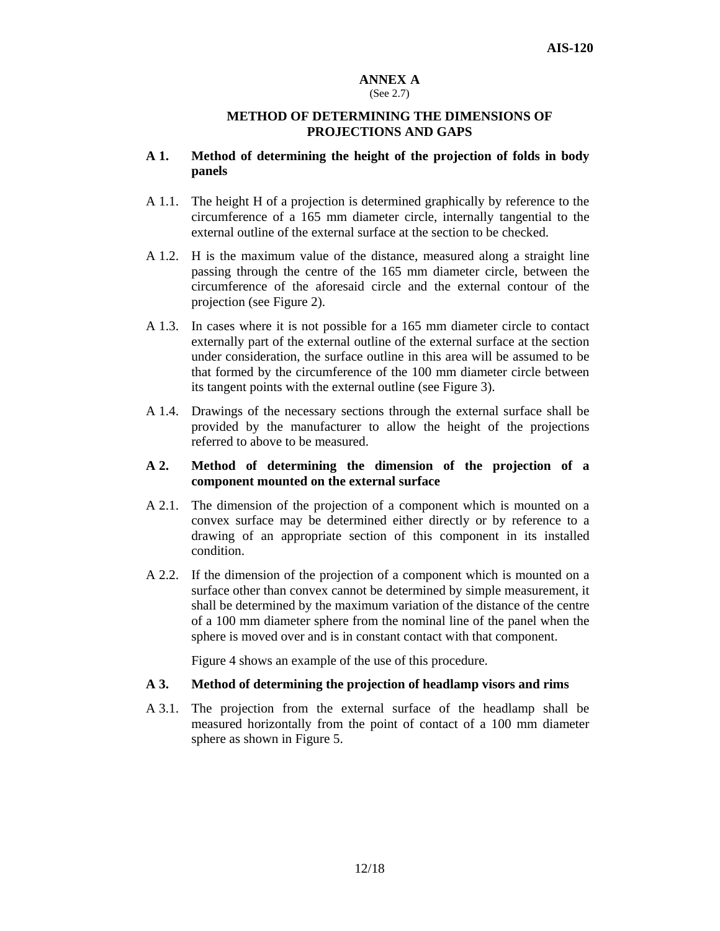#### **ANNEX A**  (See 2.7)

#### **METHOD OF DETERMINING THE DIMENSIONS OF PROJECTIONS AND GAPS**

#### **A 1. Method of determining the height of the projection of folds in body panels**

- A 1.1. The height H of a projection is determined graphically by reference to the circumference of a 165 mm diameter circle, internally tangential to the external outline of the external surface at the section to be checked.
- A 1.2. H is the maximum value of the distance, measured along a straight line passing through the centre of the 165 mm diameter circle, between the circumference of the aforesaid circle and the external contour of the projection (see Figure 2).
- A 1.3. In cases where it is not possible for a 165 mm diameter circle to contact externally part of the external outline of the external surface at the section under consideration, the surface outline in this area will be assumed to be that formed by the circumference of the 100 mm diameter circle between its tangent points with the external outline (see Figure 3).
- A 1.4. Drawings of the necessary sections through the external surface shall be provided by the manufacturer to allow the height of the projections referred to above to be measured.

#### **A 2. Method of determining the dimension of the projection of a component mounted on the external surface**

- A 2.1. The dimension of the projection of a component which is mounted on a convex surface may be determined either directly or by reference to a drawing of an appropriate section of this component in its installed condition.
- A 2.2. If the dimension of the projection of a component which is mounted on a surface other than convex cannot be determined by simple measurement, it shall be determined by the maximum variation of the distance of the centre of a 100 mm diameter sphere from the nominal line of the panel when the sphere is moved over and is in constant contact with that component.

Figure 4 shows an example of the use of this procedure.

#### **A 3. Method of determining the projection of headlamp visors and rims**

A 3.1. The projection from the external surface of the headlamp shall be measured horizontally from the point of contact of a 100 mm diameter sphere as shown in Figure 5.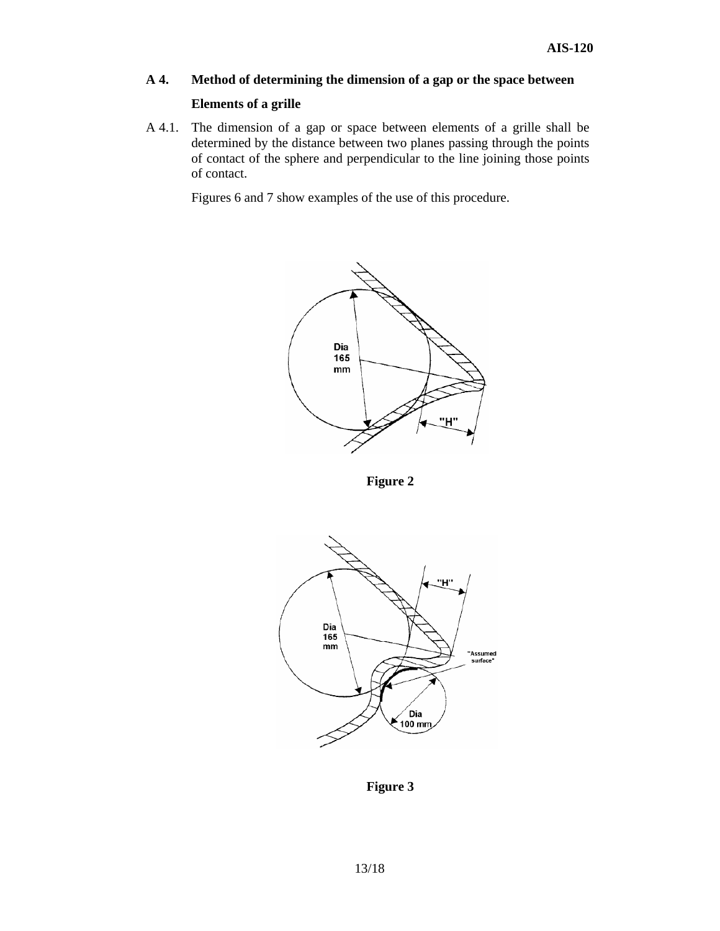# **A 4. Method of determining the dimension of a gap or the space between**

#### **Elements of a grille**

A 4.1. The dimension of a gap or space between elements of a grille shall be determined by the distance between two planes passing through the points of contact of the sphere and perpendicular to the line joining those points of contact.

Figures 6 and 7 show examples of the use of this procedure.



 **Figure 2** 



 **Figure 3**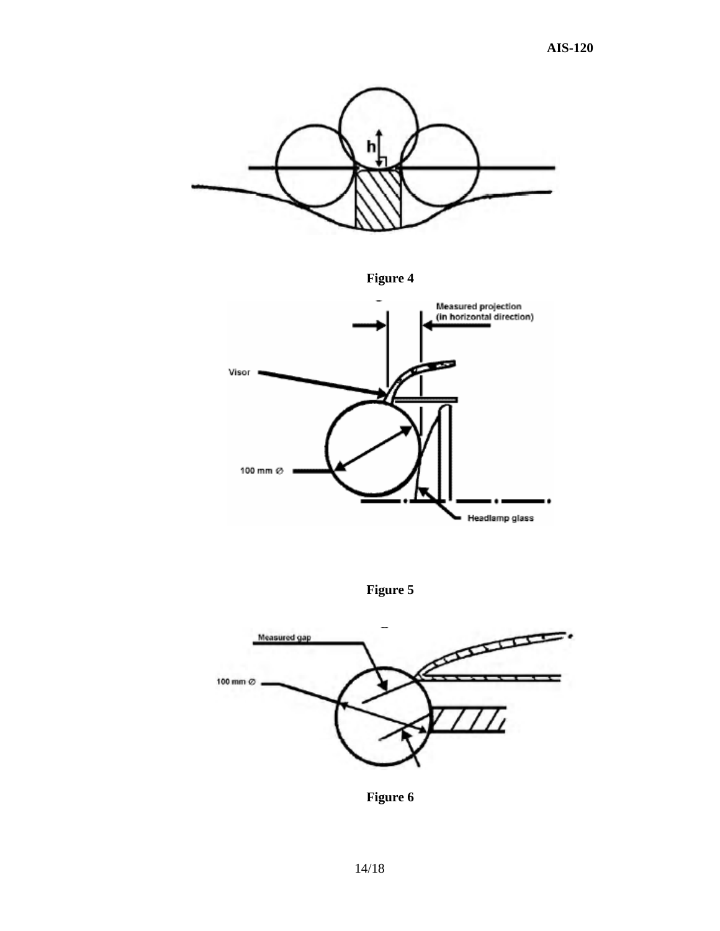

 **Figure 4** 



 **Figure 5** 



 **Figure 6**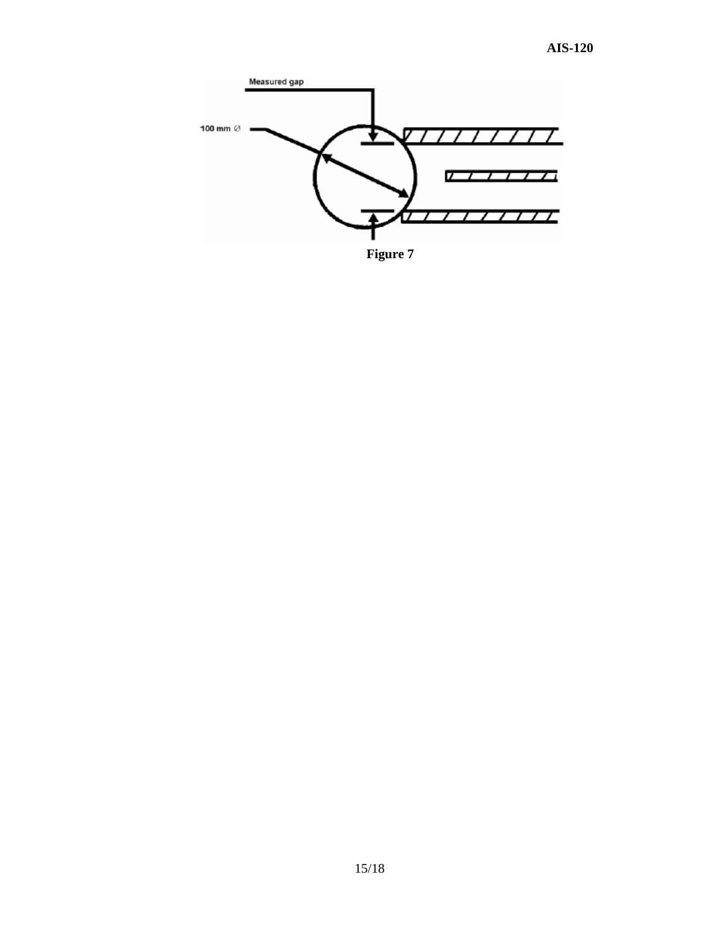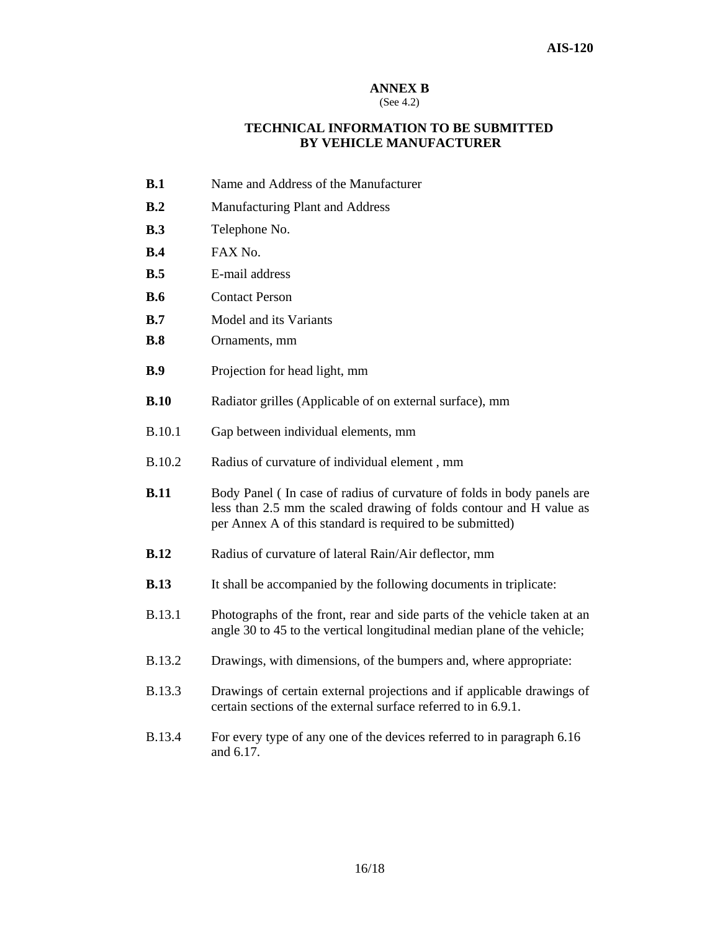#### **ANNEX B**

#### (See 4.2)

#### **TECHNICAL INFORMATION TO BE SUBMITTED BY VEHICLE MANUFACTURER**

- **B.1** Name and Address of the Manufacturer
- **B.2** Manufacturing Plant and Address
- **B.3** Telephone No.
- **B.4** FAX No.
- **B.5** E-mail address
- **B.6** Contact Person
- **B.7** Model and its Variants
- **B.8** Ornaments, mm
- **B.9** Projection for head light, mm
- **B.10** Radiator grilles (Applicable of on external surface), mm
- B.10.1 Gap between individual elements, mm
- B.10.2 Radius of curvature of individual element , mm
- **B.11** Body Panel (In case of radius of curvature of folds in body panels are less than 2.5 mm the scaled drawing of folds contour and H value as per Annex A of this standard is required to be submitted)
- **B.12** Radius of curvature of lateral Rain/Air deflector, mm
- **B.13** It shall be accompanied by the following documents in triplicate:
- B.13.1 Photographs of the front, rear and side parts of the vehicle taken at an angle 30 to 45 to the vertical longitudinal median plane of the vehicle;
- B.13.2 Drawings, with dimensions, of the bumpers and, where appropriate:
- B.13.3 Drawings of certain external projections and if applicable drawings of certain sections of the external surface referred to in 6.9.1.
- B.13.4 For every type of any one of the devices referred to in paragraph 6.16 and 6.17.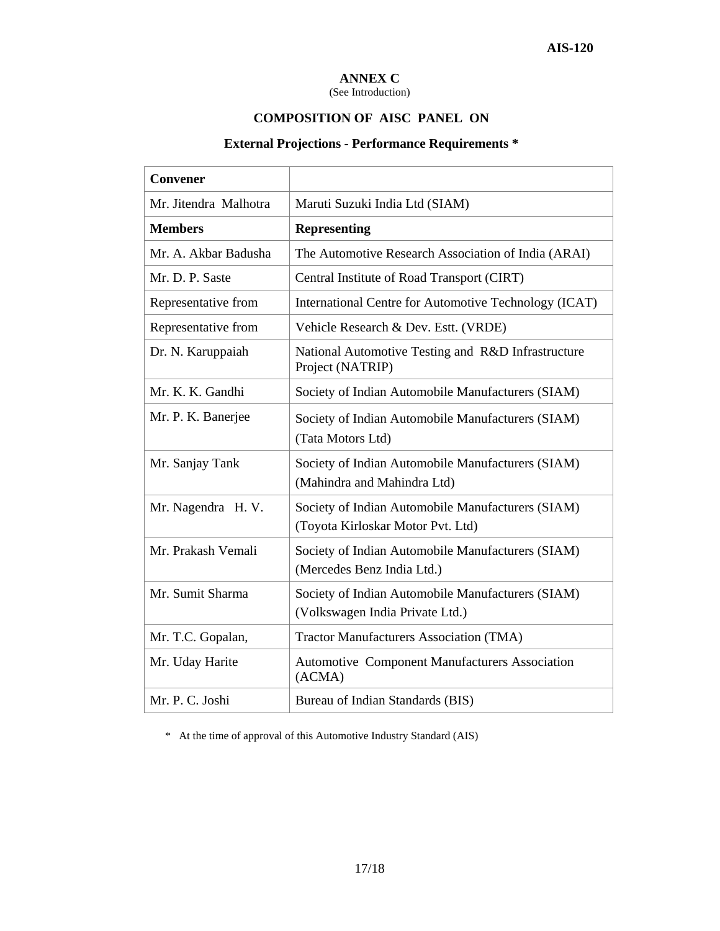# **ANNEX C**

(See Introduction)

# **COMPOSITION OF AISC PANEL ON**

# **External Projections - Performance Requirements \***

| <b>Convener</b>       |                                                                                        |  |
|-----------------------|----------------------------------------------------------------------------------------|--|
| Mr. Jitendra Malhotra | Maruti Suzuki India Ltd (SIAM)                                                         |  |
| <b>Members</b>        | <b>Representing</b>                                                                    |  |
| Mr. A. Akbar Badusha  | The Automotive Research Association of India (ARAI)                                    |  |
| Mr. D. P. Saste       | Central Institute of Road Transport (CIRT)                                             |  |
| Representative from   | International Centre for Automotive Technology (ICAT)                                  |  |
| Representative from   | Vehicle Research & Dev. Estt. (VRDE)                                                   |  |
| Dr. N. Karuppaiah     | National Automotive Testing and R&D Infrastructure<br>Project (NATRIP)                 |  |
| Mr. K. K. Gandhi      | Society of Indian Automobile Manufacturers (SIAM)                                      |  |
| Mr. P. K. Banerjee    | Society of Indian Automobile Manufacturers (SIAM)<br>(Tata Motors Ltd)                 |  |
| Mr. Sanjay Tank       | Society of Indian Automobile Manufacturers (SIAM)<br>(Mahindra and Mahindra Ltd)       |  |
| Mr. Nagendra H. V.    | Society of Indian Automobile Manufacturers (SIAM)<br>(Toyota Kirloskar Motor Pvt. Ltd) |  |
| Mr. Prakash Vemali    | Society of Indian Automobile Manufacturers (SIAM)<br>(Mercedes Benz India Ltd.)        |  |
| Mr. Sumit Sharma      | Society of Indian Automobile Manufacturers (SIAM)<br>(Volkswagen India Private Ltd.)   |  |
| Mr. T.C. Gopalan,     | <b>Tractor Manufacturers Association (TMA)</b>                                         |  |
| Mr. Uday Harite       | <b>Automotive Component Manufacturers Association</b><br>(ACMA)                        |  |
| Mr. P. C. Joshi       | Bureau of Indian Standards (BIS)                                                       |  |

\* At the time of approval of this Automotive Industry Standard (AIS)